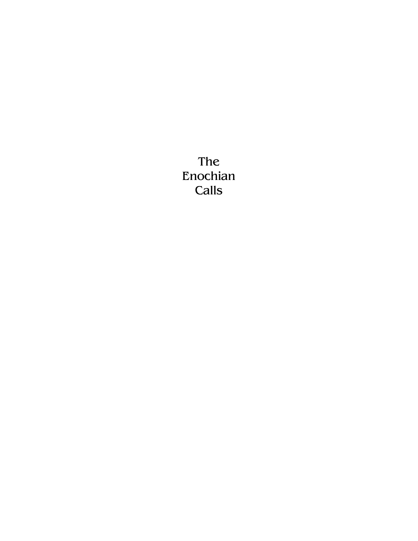The Enochian Calls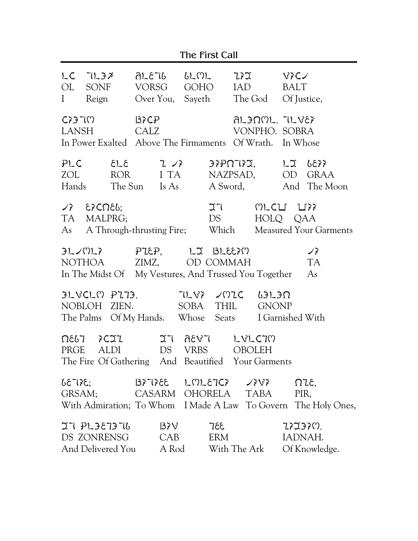|                | The First Call                                                                                                         |  |              |          |                                        |                       |     |                                |                                  |                                                                |
|----------------|------------------------------------------------------------------------------------------------------------------------|--|--------------|----------|----------------------------------------|-----------------------|-----|--------------------------------|----------------------------------|----------------------------------------------------------------|
| OL<br>$\bf{I}$ | $LC$ $TL3X$<br>SONF VORSG GOHO IAD<br>Reign                                                                            |  |              |          | ALETG GLML<br>Over You, Sayeth The God |                       | ZFZ |                                | $V$ ? $C$<br>BALT<br>Of Justice, |                                                                |
|                | C <sub>2</sub> 3T(1)<br>LANSH<br>In Power Exalted Above The Firmaments Of Wrath. In Whose                              |  | В≯СР<br>CALZ |          |                                        |                       |     | ALJOML. TLVEX<br>VONPHO. SOBRA |                                  |                                                                |
| ZOL            | $PLC$ $\epsilon$ $2 \pi$<br>Hands The Sun Is As                                                                        |  |              | ROR I TA |                                        |                       |     | NAZPSAD, OD                    |                                  | $3370732,$ $12$ $6833$<br>GRAA<br>A Sword, And The Moon        |
|                | $\sqrt{2}$ $\epsilon$ $\zeta$ Cn $\epsilon$ b;<br>TA MALPRG;<br>As A Through-thrusting Fire; Which                     |  |              |          |                                        | 27<br>DS <sub>2</sub> |     | MLCLI LIFF<br>HOLQ QAA         |                                  | <b>Measured Your Garments</b>                                  |
|                | $PL/ML$ $PL2$ $PL2$ $PL3$ $BL2$ $N$<br>NOTHOA ZIMZ, OD COMMAH<br>In The Midst Of My Vestures, And Trussed You Together |  |              |          |                                        |                       |     |                                |                                  | ノネ<br><b>TA</b><br>As                                          |
|                | $JLVCL$ M $PL73.$ TLV? JMIC<br>NOBLOH ZIEN.<br>The Palms Of My Hands. Whose Seats I Garnished With                     |  |              |          | SOBA THIL                              |                       |     | $L3L3\Omega$<br><b>GNONP</b>   |                                  |                                                                |
|                | $\Omega$ 867 $\lambda$ CIZ<br>PRGE ALDI DS VRBS OBOLEH<br>The Fire Of Gathering And Beautified Your Garments           |  |              |          | IT AEVT LVLCTM                         |                       |     |                                |                                  |                                                                |
|                | $55735$ ; $1015732$ $101573$ $101573$<br>GRSAM; CASARM OHORELA TABA                                                    |  |              |          |                                        |                       |     |                                | PIR,                             | With Admiration; To Whom I Made A Law To Govern The Holy Ones, |
|                | $335$ $V$ $S$ $S$<br>DS ZONRENSG CAB ERM                                                                               |  |              |          |                                        |                       |     |                                | 73733M.<br>IADNAH.               | And Delivered You A Rod With The Ark Of Knowledge.             |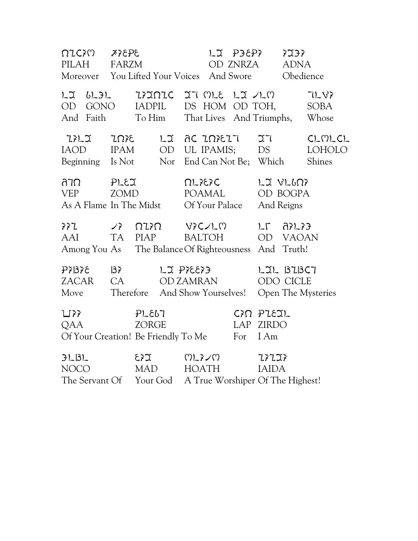PILAH FARZM SARZM SARZM SARZM SARZMA ADALIST SARZMAN SARZMA SARZMA SARZMA SARZMAN SARZMAN SARZMAN SA PILAH FARZM OD ZNRZA ADNA Moreover You Lifted Your Voices And Swore Obedience OU GONO INDICATION DI GONO IN TUNE OD GONO IADPIL DS HOM OD TOH, SOBA And Faith To Him That Lives And Triumphs, Whose IILI INIE LI ACINIEIT IT CLOLCL IAOD IPAM OD UL IPAMIS; DS LOHOLO Beginning Is Not Nor End Can Not Be; Which Shines ATO PLEI QLIEIC LIVLOP VEP ZOMD POAMAL OD BOGPA As A Flame In The Midst Of Your Palace And Reigns  $\lambda^2$   $\lambda^2$   $\lambda^2$   $\lambda^2$   $\lambda^2$   $\lambda^2$   $\lambda^2$   $\lambda^2$   $\lambda^2$   $\lambda^2$   $\lambda^2$   $\lambda^2$   $\lambda^2$   $\lambda^2$   $\lambda^2$   $\lambda^2$   $\lambda^2$   $\lambda^2$   $\lambda^2$   $\lambda^2$   $\lambda^2$   $\lambda^2$   $\lambda^2$   $\lambda^2$   $\lambda^2$   $\lambda^2$   $\lambda^2$   $\lambda^2$   $\lambda^2$   $\lambda^2$   $\lambda^2$   $\lambda^$ AAI TA PIAP BALTOH OD VAOAN Among You As The BalanceOf Righteousness And Truth! PIBIE BI LIPIEEID LILBIBCT ZACAR CA OD ZAMRAN ODO CICLE Move Therefore And Show Yourselves! Open The Mysteries  $L$  $\rightarrow$   $PL$  $\epsilon$  $L$  C $\land$  Pl $\epsilon$  $\land$ QAA ZORGE LAP ZIRDO Of Your Creation! Be Friendly To Me For I Am  $PLBL$   $EYZ$   $NLZY$ NOCO MAD HOATH IAIDA The Servant Of Your God A True Worshiper Of The Highest!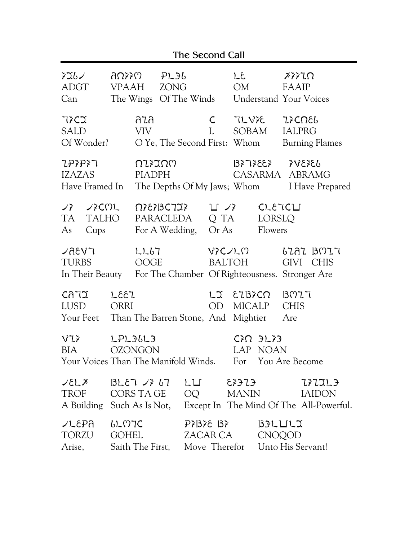|                                                                                                                                                                                                                                                                                                                                                                                                                                                                                                                |                              |                                 |                         | The Second Call             |                     |                              |                                       |                            |                                                                              |
|----------------------------------------------------------------------------------------------------------------------------------------------------------------------------------------------------------------------------------------------------------------------------------------------------------------------------------------------------------------------------------------------------------------------------------------------------------------------------------------------------------------|------------------------------|---------------------------------|-------------------------|-----------------------------|---------------------|------------------------------|---------------------------------------|----------------------------|------------------------------------------------------------------------------|
| እጟሁ∠<br>ADGT<br>Can                                                                                                                                                                                                                                                                                                                                                                                                                                                                                            | VPAAH                        | ∂Ωእ≯ω<br>The Wings Of The Winds | PL36<br>ZONG            |                             |                     | LE<br>OM                     |                                       | FAAIP                      | $X$ $Y$ $Z$ $\Omega$<br>Understand Your Voices                               |
| 77C2<br>SALD<br>Of Wonder?                                                                                                                                                                                                                                                                                                                                                                                                                                                                                     |                              | ลนล<br>VIV <sub></sub>          |                         |                             | $\mathsf C$<br>L    | O Ye, The Second First: Whom | TLVIE ZICOEL<br>SOBAM                 |                            | <b>IALPRG</b><br><b>Burning Flames</b>                                       |
| <b>ZP?P?7</b><br>IZAZAS                                                                                                                                                                                                                                                                                                                                                                                                                                                                                        |                              | <u>NIXXUU</u><br><b>PIADPH</b>  |                         |                             |                     |                              | $33505$ $335575$                      |                            | CASARMA ABRAMG<br>Have Framed In The Depths Of My Jaws; Whom I Have Prepared |
| $\overline{\phantom{a}}$ $\overline{\phantom{a}}$ $\overline{\phantom{a}}$ $\overline{\phantom{a}}$ $\overline{\phantom{a}}$ $\overline{\phantom{a}}$ $\overline{\phantom{a}}$ $\overline{\phantom{a}}$ $\overline{\phantom{a}}$ $\overline{\phantom{a}}$ $\overline{\phantom{a}}$ $\overline{\phantom{a}}$ $\overline{\phantom{a}}$ $\overline{\phantom{a}}$ $\overline{\phantom{a}}$ $\overline{\phantom{a}}$ $\overline{\phantom{a}}$ $\overline{\phantom{a}}$ $\overline{\$<br>TALHO<br>TA T<br>Cups<br>As |                              |                                 | <b><i>Ω?8?BC7I?</i></b> | PARACLEDA<br>For A Wedding, | ロジ<br>Q TA<br>Or As |                              | CLETCLI<br>LORSLQ<br>Flowers          |                            |                                                                              |
| ∠ละงา<br><b>TURBS</b><br>In Their Beauty For The Chamber Of Righteousness. Stronger Are                                                                                                                                                                                                                                                                                                                                                                                                                        |                              | <b>LL67</b><br>OOGE             |                         |                             |                     | いらくしい<br>BALTOH              |                                       |                            | 6292 BM27<br>GIVI CHIS                                                       |
| CATU<br>LUSD<br>Your Feet Than The Barren Stone, And Mightier                                                                                                                                                                                                                                                                                                                                                                                                                                                  | 1331<br><b>ORRI</b>          |                                 |                         |                             | OD                  | LJ EIBICN                    | MICALP                                | B077<br><b>CHIS</b><br>Are |                                                                              |
| V2<br><b>BIA</b><br>Your Voices Than The Manifold Winds. For You Are Become                                                                                                                                                                                                                                                                                                                                                                                                                                    |                              | LPL36L3<br><b>OZONGON</b>       |                         |                             |                     |                              | $C\Omega$ $3L\lambda$ $3$<br>LAP NOAN |                            |                                                                              |
| $\angle$ EL $\chi$<br>TROF<br>A Building Such As Is Not,                                                                                                                                                                                                                                                                                                                                                                                                                                                       |                              | BLET /7 67<br>CORS TA GE        |                         | L L<br>OQ                   |                     | EZ<br><b>MANIN</b>           |                                       |                            | 777777<br><b>IAIDON</b><br>Except In The Mind Of The All-Powerful.           |
| ∠L&P∂<br>TORZU<br>Arise,                                                                                                                                                                                                                                                                                                                                                                                                                                                                                       | <b>LLMIC</b><br><b>GOHEL</b> |                                 |                         |                             | P7137E 137          | ZACAR CA                     | $33LULZ$<br><b>CNOQOD</b>             |                            | Saith The First, Move Therefor Unto His Servant!                             |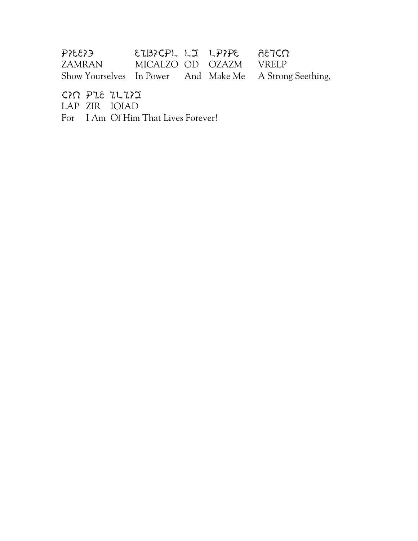| $\xi$ 33 $\xi$ | EIBICPL LI LPIPE AETCN |  |                                                         |
|----------------|------------------------|--|---------------------------------------------------------|
| ZAMRAN         | MICALZO OD OZAZM VRELP |  |                                                         |
|                |                        |  | Show Yourselves In Power And Make Me A Strong Seething, |

CAN PIE ILIAI

LAP ZIR IOIAD

For I Am Of Him That Lives Forever!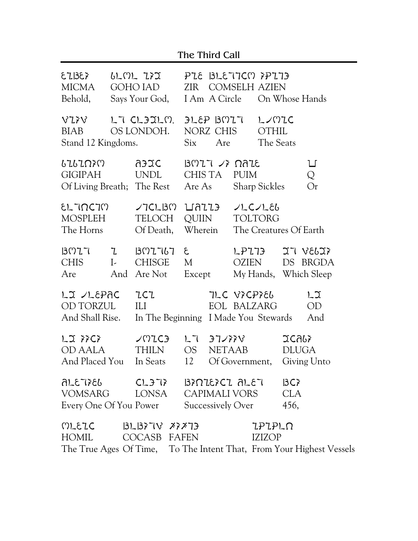| The Third Call |  |
|----------------|--|
|----------------|--|

| 52135<br><b>MICMA</b><br>Behold,                                                                                                                                                                                |                               | ししいし ひょご<br>GOHO JAD<br>Says Your God,                  | PLE BLETTCM PPLT3<br><b>COMSELH AZIEN</b><br>ZIR<br>I Am A Circle<br>On Whose Hands |                               |                                           |                                              |                              |                                               |
|-----------------------------------------------------------------------------------------------------------------------------------------------------------------------------------------------------------------|-------------------------------|---------------------------------------------------------|-------------------------------------------------------------------------------------|-------------------------------|-------------------------------------------|----------------------------------------------|------------------------------|-----------------------------------------------|
| VIIV<br>BIAB<br>Stand 12 Kingdoms.                                                                                                                                                                              |                               | LT CLIILM<br>OS LONDOH.                                 | Six                                                                                 | FLEP BOIT<br>NORZ CHIS<br>Are |                                           | L<br>OTHIL<br>The Seats                      |                              |                                               |
| 6767Ω}M<br><b>GIGIPAH</b>                                                                                                                                                                                       |                               | AFIC<br>C<br>UNDL<br>Of Living Breath; The Rest         |                                                                                     | CHIS TA<br>Are As             | $B017$ $\rightarrow$ $R12$<br><b>PUIM</b> | <b>Sharp Sickles</b>                         |                              | 凵<br>Q<br>Or                                  |
| EL INCIM<br>MOSPLEH<br>The Horns                                                                                                                                                                                |                               | VICLBM LIAII <del>J</del><br><b>TELOCH</b><br>Of Death, |                                                                                     | QUIIN<br>Wherein              |                                           | JLCJLEb<br>TOLTORG<br>The Creatures Of Earth |                              |                                               |
| B077<br><b>CHIS</b><br>Are                                                                                                                                                                                      | $\mathcal{I}$<br>$\mathbf{L}$ | $307767$ &<br><b>CHISGE</b><br>And Are Not              | M                                                                                   | Except                        | <b>LP773</b><br><b>OZIEN</b>              |                                              |                              | 57 V565?<br>DS BRGDA<br>My Hands, Which Sleep |
| LJ /LEPAC<br>OD TORZUL<br>And Shall Rise.                                                                                                                                                                       |                               | ZCZ<br>ILI<br>In The Beginning I Made You Stewards      |                                                                                     |                               | JLC VICPIEL<br>EOL BALZARG                |                                              |                              | $L_{\mathfrak{I}}$<br><b>OD</b><br>And        |
| LJ 77C7<br><b>OD AALA</b><br>And Placed You In Seats                                                                                                                                                            |                               | <b>VUICH</b><br><b>THILN</b>                            | OS<br>12                                                                            | LT 37/33V<br><b>NETAAB</b>    | Of Government,                            |                                              | <b>JCALY</b><br><b>DLUGA</b> | Giving Unto                                   |
| <u>კვ</u> ՀТ3-16<br>VOMSARG                                                                                                                                                                                     |                               | CL37} B}NIE}CI ALE7<br>LONSA CAPIMALI VORS              |                                                                                     |                               |                                           |                                              | 3C<br><b>CLA</b><br>456,     |                                               |
| <b>Successively Over</b><br>Every One Of You Power<br>MLEIC<br><b>LPLPLO</b><br>$3L37V$ $777$<br>HOMIL<br>COCASB FAFEN<br><b>IZIZOP</b><br>The True Ages Of Time, To The Intent That, From Your Highest Vessels |                               |                                                         |                                                                                     |                               |                                           |                                              |                              |                                               |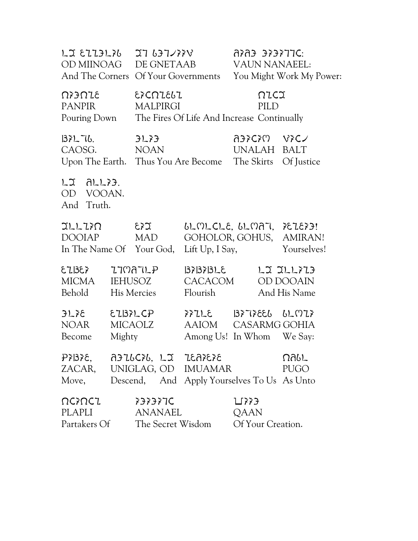| LI EIIJLIU IT UJTVIIV<br>OD MIINOAG DE GNETAAB<br>And The Corners Of Your Governments                                |                      |          | OFTRERE ERRA<br><b>VAUN NANAEEL:</b>                                       | You Might Work My Power: |
|----------------------------------------------------------------------------------------------------------------------|----------------------|----------|----------------------------------------------------------------------------|--------------------------|
| $\Omega$ > $\Omega$ $\Omega$<br>PANPIR<br>Pouring Down The Fires Of Life And Increase Continually                    | EXCNIELI<br>MALPIRGI |          | NICI<br>PILD                                                               |                          |
| $ 32L$ 76. $3L$ 31.33<br>CAOSG. NOAN<br>Upon The Earth. Thus You Are Become The Skirts Of Justice                    |                      |          | AJICIM VICZ<br>UNALAH BALT                                                 |                          |
| $LJ$ $ALL$ $33$ .<br>OD VOOAN.<br>And Truth.                                                                         |                      |          |                                                                            |                          |
| $TLLLZ$ $\Omega$ $\epsilon$ $\lambda$<br>DOOIAP MAD<br>In The Name Of Your God,                                      |                      |          | $bLMLCLE, bLMAT, ELEY3!GOHOLOR, GOHUS, AMIRAN!Lift Up, I Say, Yourselves!$ |                          |
| EZBEX ZTMATLP<br>MICMA IEHUSOZ<br>Behold                                                                             | His Mercies          | Flourish | B7B7BLE LJJLL773<br>CACACOM OD DOOAIN                                      | And His Name             |
| $3L$ $36$ $5L$ $133L$ CP $337L$ $5L$ $133T$ $365L$ $6L$ $0L$ $3L$<br>NOAR MICAOLZ<br>Become                          | Mighty               |          | AAIOM CASARMG GOHIA<br>Among Us! In Whom We Say:                           |                          |
| $PZBZE$ , $AZUZZ$ , $LZ$ $IEAZEZ$<br>ZACAR, UNIGLAG, OD IMUAMAR<br>Move, Descend, And Apply Yourselves To Us As Unto |                      |          |                                                                            | በለያፓ<br><b>PUGO</b>      |
| ΩCእUCI<br>PLAPLI<br>Partakers Of The Secret Wisdom                                                                   | 737377C<br>ANANAEL   |          | ∐773<br>QAAN<br>Of Your Creation.                                          |                          |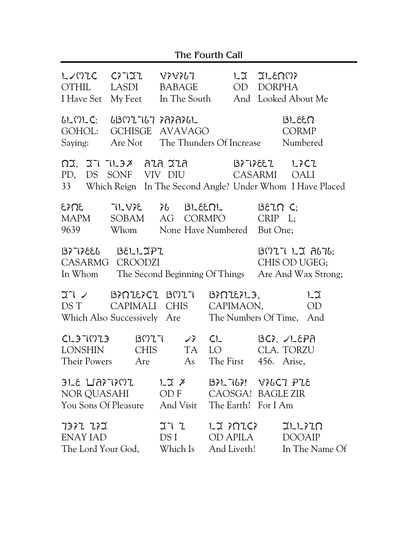| The Fourth Call                                                                                                                                                  |                                   |                                    |                                                                    |                                    |                                                           |  |  |
|------------------------------------------------------------------------------------------------------------------------------------------------------------------|-----------------------------------|------------------------------------|--------------------------------------------------------------------|------------------------------------|-----------------------------------------------------------|--|--|
| しンいてく<br>OTHIL<br>I Have Set                                                                                                                                     | LASDI<br>My Feet                  | $C$ > $T$ $T$ $V$ > $V$ > $U$      | BABAGE OD DORPHA<br>In The South And Looked About Me               | LI ILENNY                          |                                                           |  |  |
| 6LMLC:<br>GOHOL:<br>Saying:                                                                                                                                      | 1307767 383861<br>GCHISGE AVAVAGO | Are Not The Thunders Of Increase   |                                                                    | D33LEB<br><b>CORMP</b><br>Numbered |                                                           |  |  |
| ก¤. ฺวา าเ วิ <i>≯</i> ลนล ฺวนล<br>B777887 L7C7<br>PD, DS SONF VIV DIU<br>CASARMI<br><b>OALI</b><br>33 Which Reign In The Second Angle? Under Whom I Have Placed |                                   |                                    |                                                                    |                                    |                                                           |  |  |
| 3Ω₹3<br>MAPM<br>9639                                                                                                                                             | SOBAM                             | $7L\forall x \in \{3L, 5L\}$<br>AG | CORMPO<br>Whom None Have Numbered But One;                         | BETO C<br>$CRIP$ $L;$              |                                                           |  |  |
| $B\overline{z}$ $B\overline{z}$ $B\overline{z}$ $B\overline{z}$ $D\overline{z}$ $P\overline{z}$<br>CASARMG CROODZI<br>In Whom                                    |                                   |                                    | The Second Beginning Of Things                                     |                                    | $B077$ LJ $B16$ ;<br>CHIS OD UGEG;<br>Are And Wax Strong; |  |  |
| IT / BIRIEICI BMIT<br>DS T CAPIMALI CHIS<br>Which Also Successively Are                                                                                          |                                   |                                    | $B$ $R$ $L$ $L$ $3$ $L$ $3$ ,<br>CAPIMAON,<br>The Numbers Of Time, |                                    | LJ<br><b>OD</b><br>And                                    |  |  |
| CL3TMZ3<br><b>LONSHIN</b><br>Their Powers Are As The First 456. Arise,                                                                                           | B077<br><b>CHIS</b>               | $J_f^*$ CL<br><b>TA</b>            | LO                                                                 |                                    | $Bc$ , $LcPa$<br><b>CLA. TORZU</b>                        |  |  |
| NOR QUASAHI OD F CAOSGA! BAGLE ZIR<br>You Sons Of Pleasure And Visit The Earth! For I Am                                                                         |                                   |                                    |                                                                    |                                    |                                                           |  |  |
| TITLE TO THE LIMING THAT THET<br>ENAY IAD                                                                                                                        |                                   |                                    | DS I OD APILA DOOAIP                                               |                                    | The Lord Your God, Which Is And Liveth! In The Name Of    |  |  |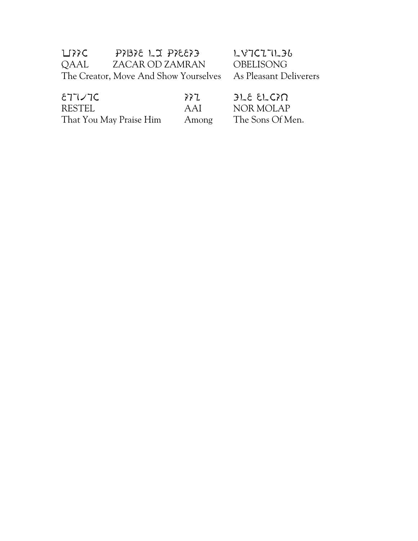| ∐??C | $PZ336$ LJ $PZ533$                    |
|------|---------------------------------------|
| QAAL | ZACAR OD ZAMRAN                       |
|      | The Creator, Move And Show Yourselves |

 $L$  $V$  $C$  $L$  $T$  $L$  $3$  $b$ OBELISONG As Pleasant Deliverers

| $ET\vee 7C$             | 77L   | $JLE$ $ELGN$     |
|-------------------------|-------|------------------|
| RESTEL                  | AAI   | NOR MOLAP        |
| That You May Praise Him | Among | The Sons Of Men. |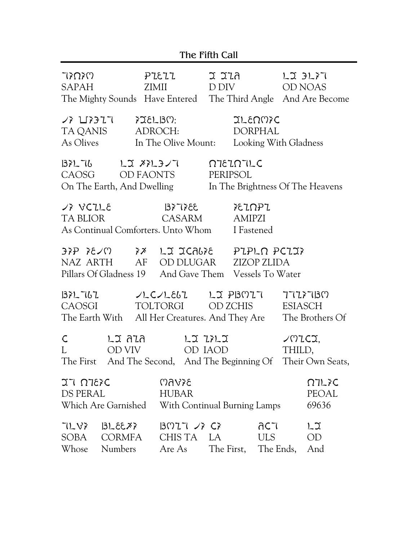|                                                                                           |                                              | The Fifth Call                                                      |                                                                                            |
|-------------------------------------------------------------------------------------------|----------------------------------------------|---------------------------------------------------------------------|--------------------------------------------------------------------------------------------|
| いくひくじ<br><b>SAPAH</b>                                                                     | PIEIL<br><b>ZIMII</b>                        | ี่ 2 2 นิก<br>D DIV                                                 | LJ 3L77<br><b>OD NOAS</b><br>The Mighty Sounds Have Entered The Third Angle And Are Become |
| <b>ノ氵凵氵ラ</b> ユ T<br>TA QANIS<br>As Olives                                                 | $728L$ BM:<br>ADROCH:<br>In The Olive Mount: | JLENNIC<br><b>DORPHAL</b>                                           | Looking With Gladness                                                                      |
| 137276<br>CAOSG<br>On The Earth, And Dwelling                                             | レゴ ズミレヨンて<br>OD FAONTS                       | <b>NIEINTLE</b><br>PERIPSOL                                         | In The Brightness Of The Heavens                                                           |
| $J$ $\gtrsim$ $VCLLE$<br><b>TA BLIOR</b><br>As Continual Comforters. Unto Whom            | 335756<br><b>CASARM</b>                      | FEINPI<br><b>AMIPZI</b><br>I Fastened                               |                                                                                            |
| 33P 3E/M 3X LI ICAB3E<br>NAZ ARTH<br>Pillars Of Gladness 19                               | AF OD DLUGAR                                 | PIPLO PCIIX<br><b>ZIZOP ZLIDA</b><br>And Gave Them Vessels To Water |                                                                                            |
| 1371 767<br><b>CAOSGI</b><br>The Earth With All Her Creatures. And They Are               | $LCC/LE6L$ $LX$ PBMIT<br>TOLTORGI            | OD ZCHIS                                                            | 77277130<br><b>ESIASCH</b><br>The Brothers Of                                              |
| ึ้น ลนล<br>C<br>OD VIV<br>The First And The Second, And The Beginning Of Their Own Seats, |                                              | LI 77LI<br>OD IAOD                                                  | 207C<br>THILD,                                                                             |
| JI NIEFC<br>DS PERAL<br>Which Are Garnished                                               | <b>BSV60</b><br><b>HUBAR</b>                 | With Continual Burning Lamps                                        | 77L<br>PEOAL<br>69636                                                                      |
| 7187<br>32316<br>SOBA<br><b>CORMFA</b><br>Whose<br>Numbers                                | $B027 \times C$<br>CHISTA LA<br>Are As       | ac7<br>ULS <sub>1</sub><br>The First,                               | $L_{\mathfrak{I}}$<br>OD<br>The Ends,<br>And                                               |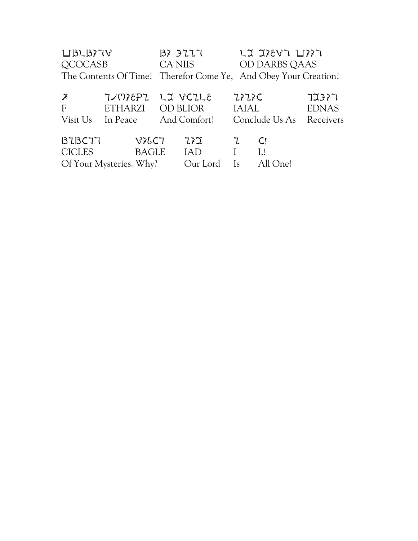| L[3L]377V<br>QCOCASB                                            |                                                  | 3777<br>CA NIIS |                                      |                                    | LJ JIEVT LIIT<br>OD DARBS QAAS  |                                    |
|-----------------------------------------------------------------|--------------------------------------------------|-----------------|--------------------------------------|------------------------------------|---------------------------------|------------------------------------|
| The Contents Of Time! Therefor Come Ye, And Obey Your Creation! |                                                  |                 |                                      |                                    |                                 |                                    |
| $\frac{\cancel{x}}{F}$<br>Visit Us                              | 7/M78P7<br><b>ETHARZI</b><br>In Peace            |                 | LI VCILE<br>OD BLIOR<br>And Comfort! | <b>7&gt;7&gt;C</b><br><b>IAIAL</b> | Conclude Us As                  | 72377<br><b>EDNAS</b><br>Receivers |
| BZBCT7<br><b>CICLES</b>                                         | V76C7<br><b>BAGLE</b><br>Of Your Mysteries. Why? |                 | 7, J<br><b>IAD</b><br>Our Lord       | $\mathcal{I}$<br><sup>Is</sup>     | $\mathsf{C}!$<br>L!<br>All One! |                                    |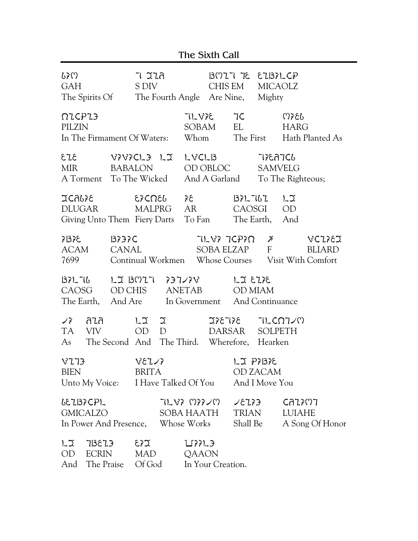|                                                                         | The Sixth Call                                |                                     |        |                                         |                           |                                        |                                              |                                        |                                                                               |
|-------------------------------------------------------------------------|-----------------------------------------------|-------------------------------------|--------|-----------------------------------------|---------------------------|----------------------------------------|----------------------------------------------|----------------------------------------|-------------------------------------------------------------------------------|
| ሁንረ<br><b>GAH</b><br>The Spirits Of                                     |                                               | ำ วาล<br>S DIV                      |        |                                         |                           | CHIS EM<br>The Fourth Angle Are Nine,  | $B0777E$ ELBILCP<br><b>MICAOLZ</b><br>Mighty |                                        |                                                                               |
| $\Omega$ C $P$ $I$ $3$<br>PILZIN<br>In The Firmament Of Waters:         |                                               |                                     |        | 71 838<br><b>SOBAM</b><br>Whom          |                           | 7C<br>EL                               | The First                                    | Ოእያር<br><b>HARG</b>                    | Hath Planted As                                                               |
| 513<br><b>MIR</b><br>A Torment                                          | ASASCT3 TI<br><b>BABALON</b><br>To The Wicked |                                     |        | $L$ $VCL$ $B$                           | OD OBLOC<br>And A Garland |                                        | 7786756<br><b>SAMVELG</b>                    | To The Righteous;                      |                                                                               |
| <b>JCALTE</b><br><b>DLUGAR</b><br>Giving Unto Them Fiery Darts          |                                               | &>CΩ&6                              | MALPRG | 37<br><b>AR</b><br>To Fan               |                           | 137L7L7<br><b>CAOSGI</b><br>The Earth, |                                              | $L_{\mathfrak{I}}$<br><b>OD</b><br>And |                                                                               |
| 355<br><b>ACAM</b><br>7699                                              | 3737C<br><b>CANAL</b>                         |                                     |        |                                         |                           | TLV? TCP?N<br>SOBA ELZAP               | $\cancel{\tilde{}}$<br>F                     |                                        | VCIIEI<br><b>BLIARD</b><br>Continual Workmen Whose Courses Visit With Comfort |
| 137276<br>CAOSG<br>The Earth,                                           | LI BMIT<br><b>OD CHIS</b><br>And Are          |                                     |        | うコンヌV<br>ANETAB<br>In Government        |                           | <b>JJ EIFE</b><br><b>OD MIAM</b>       | And Continuance                              |                                        |                                                                               |
| ลนล<br>$\sqrt{r}$<br><b>VIV</b><br>TA.<br>As                            | The Second And The Third.                     | $L_{\mathfrak{I}}$<br><b>OD</b>     | J<br>D |                                         | 385385<br><b>DARSAR</b>   | Wherefore,                             | <b>SOLPETH</b><br>Hearken                    | TLCN7/M                                |                                                                               |
| V173<br><b>BIEN</b><br>Unto My Voice:                                   |                                               | VETZ<br><b>BRITA</b>                |        | I Have Talked Of You                    |                           |                                        | LJ P7137E<br>OD ZACAM<br>And I Move You      |                                        |                                                                               |
| 6EZB7CPL<br><b>GMICALZO</b><br>In Power And Presence,                   |                                               |                                     |        | ひしんそ いりょへん<br>SOBA HAATH<br>Whose Works |                           | 2823<br><b>TRIAN</b><br>Shall Be       |                                              | CAZXM7<br><b>LUIAHE</b>                | A Song Of Honor                                                               |
| $L_{\mathfrak{I}}$<br>713873<br><b>ECRIN</b><br>OD<br>The Praise<br>And |                                               | $\Sigma$ 33<br><b>MAD</b><br>Of God |        | <b>LIXXL3</b><br>QAAON                  | In Your Creation.         |                                        |                                              |                                        |                                                                               |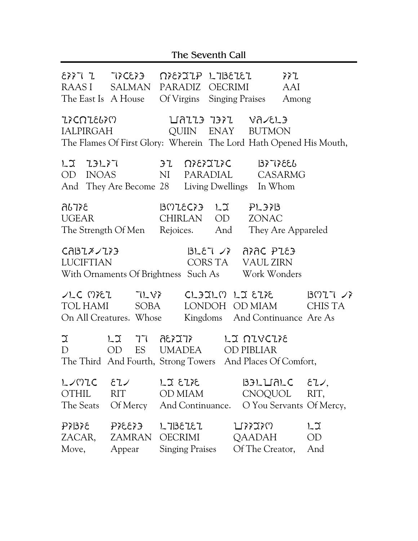| The Seventh Call                                                                                                                          |                                                                              |                                                                                                                                                                                                                                                                                                          |                                                                                                                                                                                                                       |                                  |  |  |
|-------------------------------------------------------------------------------------------------------------------------------------------|------------------------------------------------------------------------------|----------------------------------------------------------------------------------------------------------------------------------------------------------------------------------------------------------------------------------------------------------------------------------------------------------|-----------------------------------------------------------------------------------------------------------------------------------------------------------------------------------------------------------------------|----------------------------------|--|--|
| RAAS I<br>Z?CNZ&6?M                                                                                                                       | $\epsilon$ 333 $\epsilon$ 5 I $\epsilon$ 33<br>SALMAN<br>The East Is A House | PARADIZ OECRIMI                                                                                                                                                                                                                                                                                          | $\Omega$ <sup>2</sup> $\Omega$ <sup>2</sup> $\Omega$ <sub>2</sub> $\Omega$ <sub>2</sub> $\Omega$ <sub>2</sub> $\Omega$ <sub>2</sub> $\Omega$ <sub>2</sub> $\Omega$<br>Of Virgins Singing Praises<br>LAZZ3 737Z VA/EL3 | AAI<br>Among                     |  |  |
| IALPIRGAH                                                                                                                                 |                                                                              |                                                                                                                                                                                                                                                                                                          | QUIIN ENAY BUTMON<br>The Flames Of First Glory: Wherein The Lord Hath Opened His Mouth,                                                                                                                               |                                  |  |  |
| LJ 73L77<br>OD INOAS                                                                                                                      |                                                                              | $3^{\circ}$<br>NI                                                                                                                                                                                                                                                                                        | <b>77232130</b><br>13397 FEI<br>PARADIAL CASARMG<br>And They Are Become 28 Living Dwellings In Whom                                                                                                                   |                                  |  |  |
| <u>კ{TJჩ</u><br><b>UGEAR</b>                                                                                                              | The Strength Of Men                                                          | BMIEC?3 LJ<br>CHIRLAN OD<br>Rejoices. And                                                                                                                                                                                                                                                                | PL373<br><b>ZONAC</b>                                                                                                                                                                                                 | They Are Appareled               |  |  |
| $3L57$ $\sqrt{2}$<br>E3JR DRRA<br>CABZX/Z}}<br><b>LUCIFTIAN</b><br>CORS TA VAUL ZIRN<br>With Ornaments Of Brightness Such As Work Wonders |                                                                              |                                                                                                                                                                                                                                                                                                          |                                                                                                                                                                                                                       |                                  |  |  |
| TOL HAMI                                                                                                                                  | $YLC$ MEZ TLVE<br>SOBA<br>On All Creatures. Whose                            |                                                                                                                                                                                                                                                                                                          | SLIJIN LI EIXE<br>LONDOH OD MIAM<br>Kingdoms And Continuance Are As                                                                                                                                                   | B027/7<br>CHIS TA                |  |  |
| $\mathfrak{I}$<br>D                                                                                                                       | レコ<br>77<br>ES<br>OD                                                         | FT 535<br><b>UMADEA</b>                                                                                                                                                                                                                                                                                  | LI NIVCIIE<br><b>OD PIBLIAR</b><br>The Third And Fourth, Strong Towers And Places Of Comfort,                                                                                                                         |                                  |  |  |
| $L$ /MIC $\epsilon$ $L$ /<br>OTHIL                                                                                                        | <b>RIT</b>                                                                   | 38 J 2 1<br>OD MIAM                                                                                                                                                                                                                                                                                      | CNOQUOL<br>The Seats Of Mercy And Continuance. O You Servants Of Mercy,                                                                                                                                               | B3LUMLC E1/<br>RIT,              |  |  |
| P71378<br>Move,                                                                                                                           | ZACAR, ZAMRAN<br>Appear                                                      | $P$ $\geq$ $\geq$ $\geq$ $\geq$ $\geq$ $\geq$ $\geq$ $\geq$ $\geq$ $\geq$ $\geq$ $\geq$ $\geq$ $\geq$ $\geq$ $\geq$ $\geq$ $\geq$ $\geq$ $\geq$ $\geq$ $\geq$ $\geq$ $\geq$ $\geq$ $\geq$ $\geq$ $\geq$ $\geq$ $\geq$ $\geq$ $\geq$ $\geq$ $\geq$ $\geq$ $\geq$ $\$<br>OECRIMI<br><b>Singing Praises</b> | ひそうてい<br>QAADAH<br>Of The Creator,                                                                                                                                                                                    | $L_{\mathfrak{I}}$<br>OD.<br>And |  |  |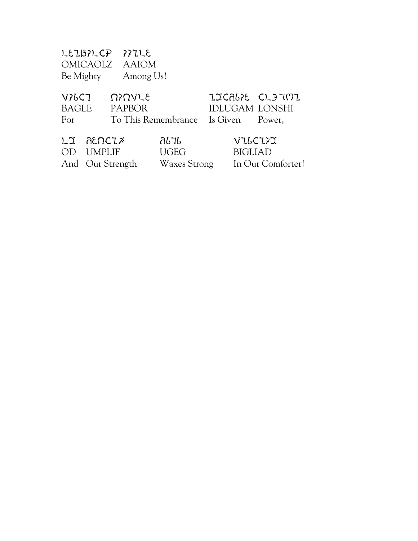| Be Mighty                    | LEZBILCP               | 3722<br>OMICAOLZ AAIOM<br>Among Us!                   |                                            |                                          |                                                |
|------------------------------|------------------------|-------------------------------------------------------|--------------------------------------------|------------------------------------------|------------------------------------------------|
| V76C7<br><b>BAGLE</b><br>For |                        | <b>UYUALE</b><br><b>PAPBOR</b><br>To This Remembrance |                                            | <b>IDLUGAM LONSHI</b><br>Is Given Power, | IJCALIE CL37MI                                 |
| レコ<br>$($ )   )              | ละกวน<br><b>UMPLIF</b> | And Our Strength                                      | ลเวเ<br><b>UGEG</b><br><b>Waxes Strong</b> |                                          | VILCIII<br><b>BIGLIAD</b><br>In Our Comforter! |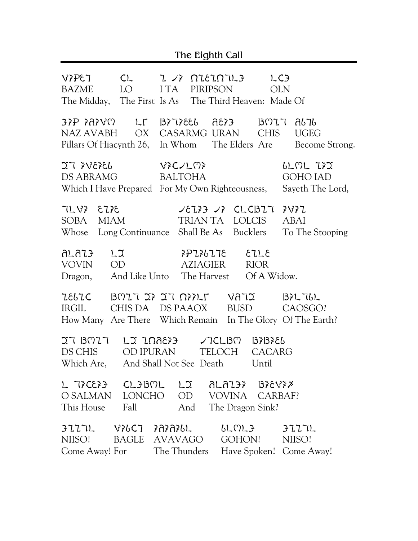The Eighth Call

BAZME LO I TA PIRIPSON OLN BAZME LO I TA PIRIPSON OLN The Midday, The First Is As The Third Heaven: Made Of  $N$ ATJA TIMBH OX SASARMG UGEGA UGEGARMA CHIS UGEGARMA UGEGARMA UGEGARMA UGEGARMA UGEGARMA UGEGARMG UGEGARMA UGEGARM NAZ AVABH OX CASARMG URAN CHIS UGEG Pillars Of Hiacynth 26, In Whom The Elders Are Become Strong. DS ABRAMG BALTON BALTON BARAG BALTON BALTON BALTON BALTON BALTON BALTON BALTON BALTON BALTON BALTON BALTON BAL DS ABRAMG BALTOHA GOHO IAD Which I Have Prepared For My Own Righteousness, Sayeth The Lord, SOBA MIAM TRIAN TA LOLCIS ABAI SOBA MIAM TRIAN TA LOLCIS ABAI Whose Long Continuance Shall Be As Bucklers To The Stooping ALAIP LI PIILITE EILE VOVIN OD AZIAGIER RIOR Dragon, And Like Unto The Harvest Of A Widow. IELIC BOIT IF IT OFFLE VATI BELTLL IRGIL CHIS DA DS PAAOX BUSD CAOSGO? How Many Are There Which Remain In The Glory Of The Earth? IT BOIT LI INAEFE / TCLBO BFBFEL DS CHIS OD IPURAN TELOCH CACARG Which Are, And Shall Not See Death Until L TICEID CLOBOL LI ALAIOI BIEVIX O SALMAN LONCHO OD VOVINA CARBAF? This House Fall And The Dragon Sink?  $BILTL$   $V7bCI$   $R77b1$   $bLCD2$   $BILTL$ NIISO! BAGLE AVAVAGO GOHON! NIISO! Come Away! For The Thunders Have Spoken! Come Away!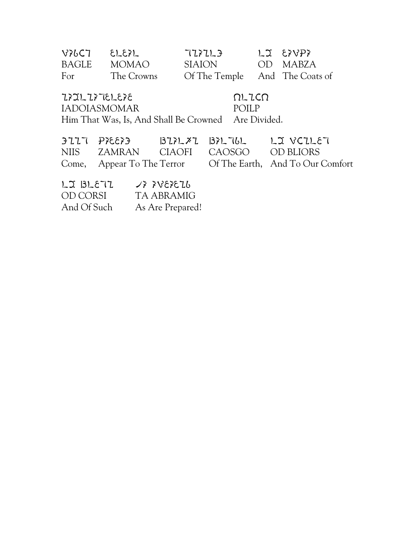| 35313751272  |              |                                | $\Omega$ -IC $\Omega$ |          |
|--------------|--------------|--------------------------------|-----------------------|----------|
| For          | The Crowns   | Of The Temple And The Coats of |                       |          |
| BAGLE        | <b>MOMAO</b> | SIAION                         |                       | OD MABZA |
| <b>776C7</b> | $\Sigma$     | 727213                         |                       | LI EXVPX |

IADOIASMOMAR POILP Him That Was, Is, And Shall Be Crowned Are Divided.

| $5777$ $P$ $5633$ |                                    | $BZYLYZ$ $BYLYL$                                            |
|-------------------|------------------------------------|-------------------------------------------------------------|
|                   | NIIS ZAMRAN CIAOFI CAOSGO ODBLIORS |                                                             |
|                   |                                    | Come, Appear To The Terror Of The Earth, And To Our Comfort |

| LJ BLE77    | 7\$ \$78\$279    |
|-------------|------------------|
| OD CORSI    | TA ABRAMIG       |
| And Of Such | As Are Prepared! |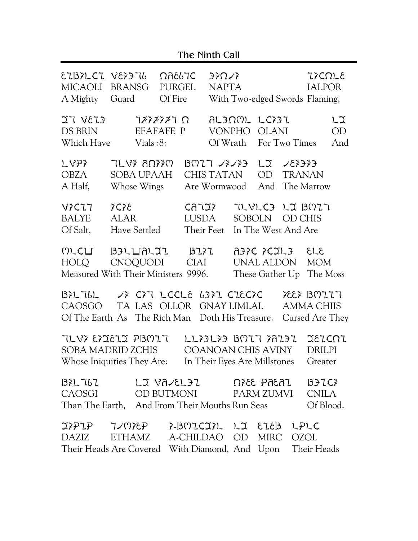|  | The Ninth Call |  |
|--|----------------|--|
|--|----------------|--|

| EIBILCI VEI3T6<br><b>MICAOLI</b><br>A Mighty | <b>BRANSG</b><br>Guard                                                                                                                                                    | <u> ೧೧</u> ೬८٦C<br><b>PURGEL</b><br>Of Fire                                                                                                                                                                                                                                                                                                | 370/7<br><b>NAPTA</b>                   |  |                                                                          |                | <b>ZICOLE</b><br><b>IALPOR</b><br>With Two-edged Swords Flaming, |
|----------------------------------------------|---------------------------------------------------------------------------------------------------------------------------------------------------------------------------|--------------------------------------------------------------------------------------------------------------------------------------------------------------------------------------------------------------------------------------------------------------------------------------------------------------------------------------------|-----------------------------------------|--|--------------------------------------------------------------------------|----------------|------------------------------------------------------------------|
| $E13V$ $T2$<br><b>DS BRIN</b><br>Which Have  | Vials:8:                                                                                                                                                                  | $7$ $\frac{7}{3}$ $\frac{7}{3}$ $\frac{7}{3}$ $\frac{7}{3}$ $\frac{7}{3}$ $\frac{7}{3}$ $\frac{7}{3}$ $\frac{7}{3}$ $\frac{7}{3}$ $\frac{7}{3}$ $\frac{7}{3}$ $\frac{7}{3}$ $\frac{7}{3}$ $\frac{7}{3}$ $\frac{7}{3}$ $\frac{7}{3}$ $\frac{7}{3}$ $\frac{7}{3}$ $\frac{7}{3}$ $\frac{7}{3}$ $\frac{7}{3}$ $\frac{7}{3$<br><b>EFAFAFE</b> P | <b>VONPHO</b><br>Of Wrath               |  | ALIAML LCIIL<br><b>OLANI</b><br>For Two Times                            |                | L2<br><b>OD</b><br>And                                           |
| LVPY<br><b>OBZA</b><br>A Half,               | 71 YY ANYY<br>SOBA UPAAH<br>Whose Wings                                                                                                                                   |                                                                                                                                                                                                                                                                                                                                            | BMIT /シ/シ<br>CHIS TATAN<br>Are Wormwood |  | <b>OD</b><br>And                                                         | <b>TRANAN</b>  | The Marrow                                                       |
| <b>VICLT</b><br><b>BALYE</b><br>Of Salt,     | 355<br><b>ALAR</b><br>Have Settled                                                                                                                                        | CATIX<br><b>LUSDA</b><br><b>Their Feet</b>                                                                                                                                                                                                                                                                                                 |                                         |  | TLVLC3 LIBMIT<br>SOBOLN<br>In The West And Are                           | <b>OD CHIS</b> |                                                                  |
| MLCLI<br>HOLQ                                | B3LLIALII<br>CNOQUODI<br>Measured With Their Ministers 9996.                                                                                                              | 3277<br><b>CIAI</b>                                                                                                                                                                                                                                                                                                                        |                                         |  | 313 ELDS STER<br>UNAL ALDON                                              |                | <b>MOM</b><br>These Gather Up The Moss                           |
| 1371761<br>CAOSGO                            | $JZ$ $CZ$ $LCCL$<br>6377 CIECTC<br>$7557$ BMIIT<br>TA LAS OLLOR<br>GNAY LIMLAL<br><b>AMMA CHIIS</b><br>Of The Earth As The Rich Man Doth His Treasure.<br>Cursed Are They |                                                                                                                                                                                                                                                                                                                                            |                                         |  |                                                                          |                |                                                                  |
|                                              | TLVI EISTEIJ PBMIT<br>SOBA MADRID ZCHIS<br>Whose Iniquities They Are:                                                                                                     |                                                                                                                                                                                                                                                                                                                                            |                                         |  | 1133133 BM17 38131<br>OOANOAN CHIS AVINY<br>In Their Eyes Are Millstones |                | JEICNI<br><b>DRILPI</b><br>Greater                               |
|                                              | $B7L7L7$ LIVA/ELJI $\Omega$ <sup>765</sup> PAEAI BJIC?<br>CAOSGI OD BUTMONI PARM ZUMVI<br>Than The Earth, And From Their Mouths Run Seas Of Blood.                        |                                                                                                                                                                                                                                                                                                                                            |                                         |  |                                                                          |                | CNILA                                                            |
|                                              | IPPLP 7/MPEP F-BMICIPL LI EIEB LPLC<br>DAZIZ ETHAMZ A-CHILDAO OD MIRC OZOL<br>Their Heads Are Covered With Diamond, And Upon Their Heads                                  |                                                                                                                                                                                                                                                                                                                                            |                                         |  |                                                                          |                |                                                                  |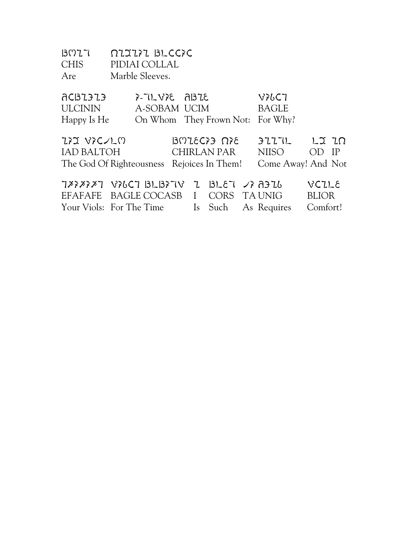| B077        | OIJIII BLECIE   |
|-------------|-----------------|
| <b>CHIS</b> | PIDIAI COLLAL   |
| Are         | Marble Sleeves. |

| ACBL3L3                                    | $3-7L$ $V$ $\geq$ $R$ $I$ $-5$ |               | V76C7                            |              |      |
|--------------------------------------------|--------------------------------|---------------|----------------------------------|--------------|------|
| <b>ULCININ</b>                             | A-SOBAM UCIM                   |               | <b>BAGLE</b>                     |              |      |
| Happy Is He                                |                                |               | On Whom They Frown Not: For Why? |              |      |
|                                            |                                |               |                                  |              |      |
| ひょう いっくつしい                                 |                                | $350$ $6523$  | $3777$ $12$ $10$                 |              |      |
| IAD BALTOH                                 |                                | CHIRLAN PAR   | NIISO                            | OD           | - IP |
| The God Of Righteousness Rejoices In Them! |                                |               | Come Away! And Not               |              |      |
|                                            |                                |               |                                  |              |      |
| 7888387 V36C7 BLB37V                       |                                | Z BLET /}A3Z6 |                                  | VCLLE        |      |
| EFAFAFE BAGLE COCASB I                     |                                | CORS TAUNIG   |                                  | <b>BLIOR</b> |      |
| Your Viols: For The Time                   |                                |               | Is Such As Requires              | Comfort!     |      |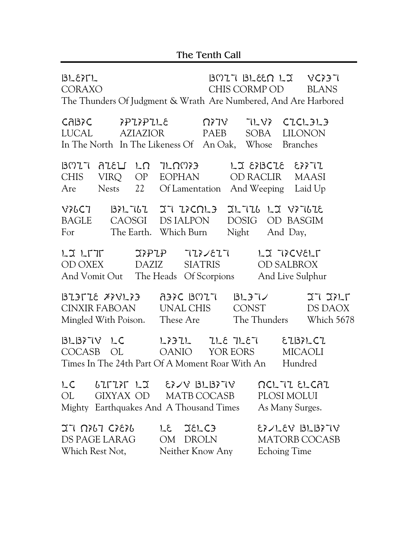| 3L57L<br>CORAXO                                                     | The Thunders Of Judgment & Wrath Are Numbered, And Are Harbored                                                                                                                      | $B077$ $BLEER$ $LT$ $VC27$<br>CHIS CORMP OD<br><b>BLANS</b>      |
|---------------------------------------------------------------------|--------------------------------------------------------------------------------------------------------------------------------------------------------------------------------------|------------------------------------------------------------------|
| CABIC<br>ንPጊንPጊL&<br>LUCAL<br>AZIAZIOR                              | $\Omega$ } $\nabla$ }<br>PAEB<br>In The North In The Likeness Of An Oak, Whose                                                                                                       | 71 87<br>CICL3L3<br><b>LILONON</b><br>SOBA<br><b>Branches</b>    |
| B027<br>Ω1 L3J3A<br><b>CHIS</b><br>VIRQ<br>OP<br>Are<br>Nests<br>22 | JLQM}}<br>EOPHAN<br>Of Lamentation                                                                                                                                                   | LI EXBCIE EXXII<br>OD RACLIR<br>MAASI<br>And Weeping Laid Up     |
| V76C7<br>BAGLE<br>CAOSGI<br>For                                     | BZUUZZZZZZZQLZ<br>DS IALPON<br>The Earth. Which Burn<br>Night                                                                                                                        | IL 776 LI VI 767E<br>DOSIG OD BASGIM<br>And Day,                 |
| レス レレル<br>OD OXEX<br>DAZIZ                                          | $\mathfrak{I} \wr \mathfrak{P} \wr \mathfrak{P}$ $\qquad \mathfrak{I} \wr \mathfrak{I} \times \mathfrak{E} \wr \mathfrak{I} \lor$<br>SIATRIS<br>And Vomit Out The Heads Of Scorpions | LI TICVELT<br><b>OD SALBROX</b><br>And Live Sulphur              |
| 373578 XXVLX3<br>CINXIR FABOAN<br>Mingled With Poison.              | A3>C BMIT<br>UNAL CHIS<br>These Are                                                                                                                                                  | 3237/<br>27221<br>CONST<br>DS DAOX<br>The Thunders<br>Which 5678 |
| $3L37V$ LC<br>COCASB<br>OL                                          | レショエレ<br>T3_IL 3_1L<br>OANIO<br>YOR EORS<br>Times In The 24th Part Of A Moment Roar With An                                                                                          | E137LC1<br><b>MICAOLI</b><br>Hundred                             |
| LC<br>OL<br>Mighty Earthquakes And A Thousand Times                 | $671777$ $12$ $6779$ $13113778$<br>GIXYAX OD MATB COCASB                                                                                                                             | <b>DCL 77 EL CAZ</b><br>PLOSI MOLUI<br>As Many Surges.           |
| $27 \Omega_{b}1 \Omega_{c}$<br>DS PAGE LARAG<br>Which Rest Not,     | LE JELCE<br>OM<br>DROLN<br>Neither Know Any                                                                                                                                          | 57/LEV BLB77V<br><b>MATORB COCASB</b><br><b>Echoing Time</b>     |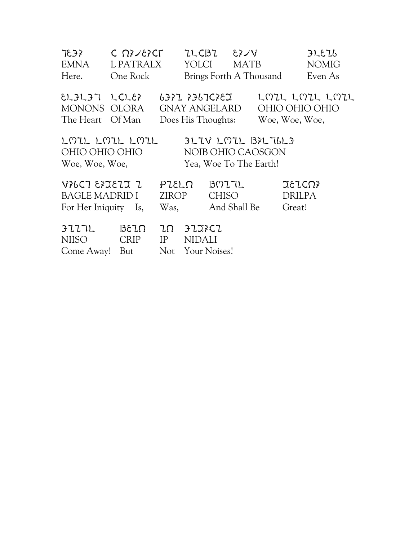| 7937<br><b>EMNA</b><br>Here.                                                                                               | $C \Omega^2 \times 10^{-10}$<br>L PATRALX<br>One Rock | ZLCBZ<br>YOLCI                                              | $\forall \forall \vec{3}$<br><b>MATB</b><br>Brings Forth A Thousand |                                  | JLEL<br><b>NOMIG</b><br>Even As |  |
|----------------------------------------------------------------------------------------------------------------------------|-------------------------------------------------------|-------------------------------------------------------------|---------------------------------------------------------------------|----------------------------------|---------------------------------|--|
| $ELAJI$ $LCLE$<br>MONONS OLORA<br>The Heart Of Man                                                                         |                                                       | 6371 7367C78X<br><b>GNAY ANGELARD</b><br>Does His Thoughts: |                                                                     | OHIO OHIO OHIO<br>Woe, Woe, Woe, | LMIL LMIL LMIL                  |  |
| LMIL LMIL LMIL<br>$3L1V$ LMIL $32L76L3$<br>OHIO OHIO OHIO<br>NOIB OHIO CAOSGON<br>Yea, Woe To The Earth!<br>Woe, Woe, Woe, |                                                       |                                                             |                                                                     |                                  |                                 |  |
| VIGCT EXIEII I<br>BAGLE MADRID I<br>For Her Iniquity Is,                                                                   |                                                       | PLEL <sub>0</sub><br><b>ZIROP</b><br>Was,                   | B0771<br><b>CHISO</b><br>And Shall Be                               | XEICN?<br>DRILPA<br>Great!       |                                 |  |
| 3777L<br><b>NIISO</b><br>Come Away!                                                                                        | $3\epsilon$ $\Omega$<br><b>CRIP</b><br>But            | 3137C1<br>ZΩ<br>IP<br><b>NIDALI</b><br>Not                  | Your Noises!                                                        |                                  |                                 |  |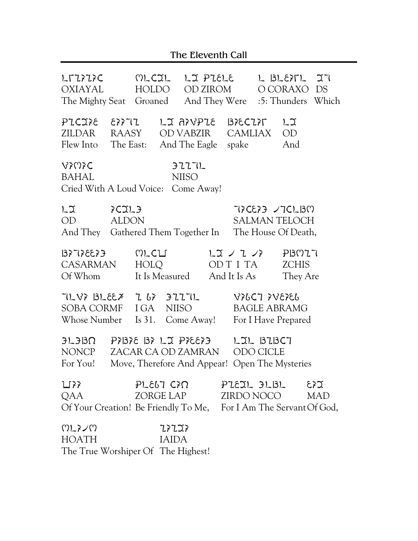|                                                                                                            |                                    |                         |                       | The Eleventh Call     |                           |                        |                                                                   |     |
|------------------------------------------------------------------------------------------------------------|------------------------------------|-------------------------|-----------------------|-----------------------|---------------------------|------------------------|-------------------------------------------------------------------|-----|
| LTZIIIC MLCIL LIPIELE<br>OXIAYAL<br>The Mighty Seat Groaned And They Were : 5: Thunders Which              |                                    | HOLDO                   |                       | OD ZIROM              |                           |                        | L BLETL 27<br>O CORAXO DS                                         |     |
| PICITE ETTI LIATUPIE BIECIT<br>ZILDAR RAASY ODVABZIR CAMLIAX OD<br>Flew Into The East: And The Eagle spake |                                    |                         |                       |                       |                           |                        | レコ<br>And                                                         |     |
| <b>VIMIC</b><br><b>BAHAL</b><br>Cried With A Loud Voice: Come Away!                                        |                                    |                         |                       | 3777L<br><b>NIISO</b> |                           |                        |                                                                   |     |
| $L_{\mathfrak{I}}$<br>OD<br>And They Gathered Them Together In The House Of Death,                         | SCIL <sub>3</sub><br><b>ALDON</b>  |                         |                       |                       |                           |                        | TICETE / TCLBM<br><b>SALMAN TELOCH</b>                            |     |
| $\epsilon$ $\epsilon$ 33 $\epsilon$ T $\epsilon$ $\epsilon$ $\epsilon$<br>CASARMAN HOLQ<br>Of Whom         |                                    | MLCLI<br>It Is Measured |                       |                       | レエ ノ I ノ氵<br>And It Is As |                        | PI3077<br>OD T I TA ZCHIS<br>They Are                             |     |
| TLV? BLEEX I GY FIITL<br>SOBA CORMF I GA<br>Whose Number Is 31.                                            |                                    |                         | <b>NIISO</b>          | Come Away!            |                           |                        | <b>VILCT IVEIEL</b><br><b>BAGLE ABRAMG</b><br>For I Have Prepared |     |
| $3L3B\Omega$ $P7B78B72D7P76673$<br>NONCP<br>For You! Move, Therefore And Appear! Open The Mysteries        |                                    | ZACAR CA OD ZAMRAN      |                       |                       |                           | LIL BIBCT<br>ODO CICLE |                                                                   |     |
| ∐77<br>QAA<br>Of Your Creation! Be Friendly To Me, For I Am The Servant Of God,                            |                                    | ZORGE LAP ZIRDO NOCO    |                       |                       |                           |                        | $PL$ $E\$ $T$ $PL$ $E\$ $T$ $T$ $PL$ $E\$ $T$                     | MAD |
| いアメへい<br><b>HOATH</b>                                                                                      | $W^{\dagger}$ 1 $\Omega^{\dagger}$ |                         | 77777<br><b>IAIDA</b> |                       |                           |                        |                                                                   |     |

The True Worshiper Of The Highest!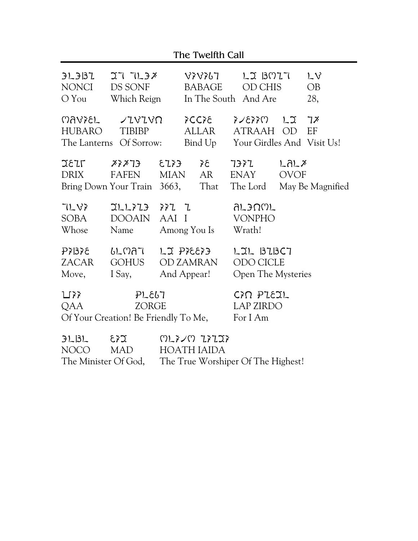| The Twelfth Call                                                                              |                                                             |                                       |  |                                    |                                              |                                                   |                     |                                                            |
|-----------------------------------------------------------------------------------------------|-------------------------------------------------------------|---------------------------------------|--|------------------------------------|----------------------------------------------|---------------------------------------------------|---------------------|------------------------------------------------------------|
| 3L3B<br>NONCI<br>$O$ You                                                                      | 277238<br>DS SONF<br>Which Reign                            |                                       |  | V7V767<br><b>BABAGE</b>            |                                              | LJ BMI7<br><b>OD CHIS</b><br>In The South And Are |                     | LV<br>OB<br>28,                                            |
| HUBARO                                                                                        | M<br><b>TIBIBP</b><br>The Lanterns Of Sorrow:               |                                       |  | ንርርን8<br>ALLAR                     |                                              | $\gamma$ 3353<br>ATRAAH OD                        | L2                  | 7 <sup>x</sup><br>EF<br>Bind Up Your Girdles And Visit Us! |
| <b>JEIT</b><br>DRIX                                                                           | $X^2X$ 73<br>FAFEN MIAN<br>Bring Down Your Train 3663, That | $35$ $6523$                           |  | AR                                 |                                              | 7377<br>ENAY                                      | LALX<br><b>OVOF</b> | The Lord May Be Magnified                                  |
| 71 83<br><b>SOBA</b><br>Whose                                                                 | $TLZLZZ$ $ZZ$<br>DOOAIN AAI I<br>Name                       |                                       |  | Among You Is                       |                                              | <b>YL3UWL</b><br><b>VONPHO</b><br>Wrath!          |                     |                                                            |
| PZ32<br>ZACAR<br>Move,                                                                        | ししいはて<br>GOHUS<br>I Say,                                    | LJ PIEEI3<br>OD ZAMRAN<br>And Appear! |  |                                    | LIL BIBCT<br>ODO CICLE<br>Open The Mysteries |                                                   |                     |                                                            |
| PL667<br>$\sum \tilde{\gamma}$<br>QAA<br><b>ZORGE</b><br>Of Your Creation! Be Friendly To Me, |                                                             |                                       |  |                                    |                                              | CIN PLEIL<br><b>LAP ZIRDO</b><br>For I Am         |                     |                                                            |
| 3L13L<br>∑≨ع<br>NOCO<br>The Minister Of God,                                                  |                                                             | しんそくし エシエコシ<br><b>HOATH IAIDA</b>     |  | The True Worshiper Of The Highest! |                                              |                                                   |                     |                                                            |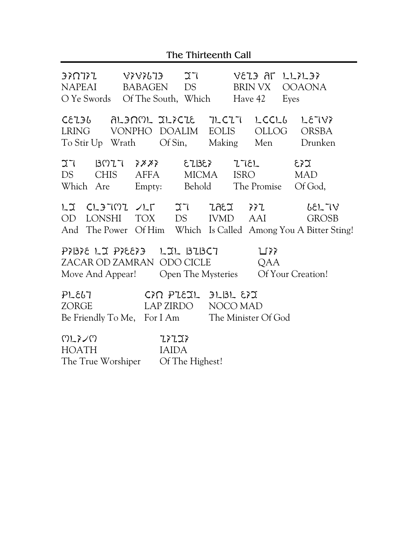### The Thirteenth Call

| ET ETJEVEN VIETNEE<br>NAPEAI<br>O Ye Swords Of The South, Which                                                                             |  | BABAGEN               | DS <sub>2</sub> |  | Have 42     | YEZ3 AL LLIL37<br>BRIN VX OOAONA<br>Eyes |                        |  |
|---------------------------------------------------------------------------------------------------------------------------------------------|--|-----------------------|-----------------|--|-------------|------------------------------------------|------------------------|--|
| CELIU ALINML ILICIE ILCIT LCCLU<br>LRING VONPHO DOALIM EOLIS<br>To Stir Up Wrath Of Sin, Making Men Drunken                                 |  |                       |                 |  |             | OLLOG ORSBA                              | LE 787                 |  |
| IT BOIT ???? EIBE? ITEL<br>DS CHIS<br>Which Are Empty: Behold The Promise                                                                   |  | AFFA MICMA            |                 |  | <b>ISRO</b> | $\Sigma$ 3<br><b>MAD</b><br>Of God,      |                        |  |
| LI CLITMI ALT IT IAEI FFI<br>OD LONSHI TOX DS IVMD AAI<br>And The Power Of Him Which Is Called Among You A Bitter Sting!                    |  |                       |                 |  |             |                                          | 6EL TV<br><b>GROSB</b> |  |
| PIBIE LI PIEEI DIL BIBCT<br>$\sqcup$ } }<br>ZACAR OD ZAMRAN ODO CICLE<br>QAA<br>Move And Appear! Open The Mysteries Of Your Creation!       |  |                       |                 |  |             |                                          |                        |  |
| PLE67<br>$C\$ $R$ $P$ $L$ $E$ $L$ $P$ $L$ $B$ $L$ $E$ $Z$<br>LAP ZIRDO NOCO MAD<br>ZORGE<br>Be Friendly To Me, For I Am The Minister Of God |  |                       |                 |  |             |                                          |                        |  |
| いしょくい<br><b>HOATH</b><br>The True Worshiper Of The Highest!                                                                                 |  | 73723<br><b>IAIDA</b> |                 |  |             |                                          |                        |  |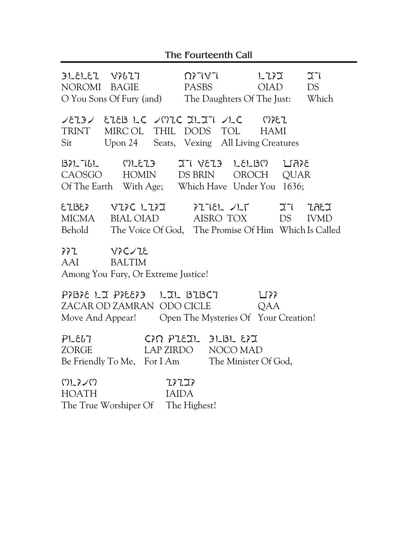## The Fourteenth Call

| NOROMI BAGIE                                                                                                                          | $3L$ $\epsilon$ $L$ $\epsilon$ $L$ $\epsilon$ $L$ $\epsilon$ $L$ $\epsilon$ $L$ $\epsilon$ $L$ $\epsilon$ $L$ $\epsilon$ $L$ $\epsilon$ $L$ $\epsilon$ $L$ $\epsilon$ $L$ $\epsilon$ $L$ $\epsilon$ $L$ $\epsilon$ $L$ $\epsilon$ $L$ $\epsilon$ $L$ $\epsilon$ $L$ $\epsilon$ $L$ $\epsilon$ $L$ $\epsilon$ $L$ $\epsilon$ $L$ $\epsilon$ $L$ $\epsilon$ $L$ $\epsilon$ $L$ | O You Sons Of Fury (and) The Daughters Of The Just: Which                                                                            | $\Omega$ $\chi$ $\Gamma$ $\chi$ $\Gamma$<br>PASBS | レエジン<br>OIAD | 27<br>DS |  |  |  |
|---------------------------------------------------------------------------------------------------------------------------------------|------------------------------------------------------------------------------------------------------------------------------------------------------------------------------------------------------------------------------------------------------------------------------------------------------------------------------------------------------------------------------|--------------------------------------------------------------------------------------------------------------------------------------|---------------------------------------------------|--------------|----------|--|--|--|
| TRINT                                                                                                                                 |                                                                                                                                                                                                                                                                                                                                                                              | VEIBV EIEBLC VMIC JLJT VLC MIEI<br>MIRCOL THIL DODS TOL HAMI<br>Sit Upon 24 Seats, Vexing All Living Creatures                       |                                                   |              |          |  |  |  |
|                                                                                                                                       |                                                                                                                                                                                                                                                                                                                                                                              | $BZUU$ $C151$ $C13$ $C130$ $D1615$<br>CAOSGO HOMIN DS BRIN OROCH QUAR<br>Of The Earth With Age; Which Have Under You 1636;           |                                                   |              |          |  |  |  |
|                                                                                                                                       |                                                                                                                                                                                                                                                                                                                                                                              | $EZ BE$ > VI>C LI>I >ITEL /LT IT<br>MICMA BIAL OIAD AISRO TOX DS IVMD<br>Behold The Voice Of God, The Promise Of Him Which Is Called |                                                   |              | 7.GEX    |  |  |  |
| AAI<br><b>BALTIM</b><br>Among You Fury, Or Extreme Justice!                                                                           |                                                                                                                                                                                                                                                                                                                                                                              |                                                                                                                                      |                                                   |              |          |  |  |  |
| PIBIE LI PIEEI - LIL BIBCT<br>$\sqcup$ $\}$<br>ZACAR OD ZAMRAN ODO CICLE QAA<br>Move And Appear! Open The Mysteries Of Your Creation! |                                                                                                                                                                                                                                                                                                                                                                              |                                                                                                                                      |                                                   |              |          |  |  |  |
| PLE67<br><b>ZORGE</b>                                                                                                                 |                                                                                                                                                                                                                                                                                                                                                                              | $C22$ $P151$ $P151$ $E2$<br>LAP ZIRDO NOCO MAD<br>Be Friendly To Me, For I Am The Minister Of God,                                   |                                                   |              |          |  |  |  |
| いアメへい                                                                                                                                 |                                                                                                                                                                                                                                                                                                                                                                              | 77777                                                                                                                                |                                                   |              |          |  |  |  |

HOATH IAIDA<br>The True Worshiper Of The Highest!

The True Worshiper Of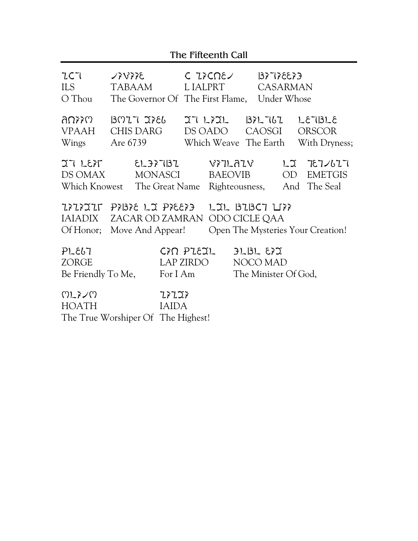| The Fifteenth Call                          |                                                                |                                    |                                                    |                                                     |                                                                       |  |  |
|---------------------------------------------|----------------------------------------------------------------|------------------------------------|----------------------------------------------------|-----------------------------------------------------|-----------------------------------------------------------------------|--|--|
| 2C7<br><b>ILS</b><br>O Thou                 | <b>SYXXX</b><br>TABAAM                                         | The Governor Of The First Flame,   | C IICNE<br>L IALPRT                                | $\xi$ $\xi$ 33 $\xi$ $\Gamma$ $\xi$ $\xi$ ]         | <b>CASARMAN</b><br>Under Whose                                        |  |  |
| רו לאמה<br><b>VPAAH</b><br>Wings            | $B017$ JIEL<br><b>CHIS DARG</b><br>Are 6739                    |                                    | IT LIIL<br>DS OADO                                 | 1371767<br>CAOSGI<br>Which Weave The Earth          | LETI3LE<br><b>ORSCOR</b><br>With Dryness;                             |  |  |
| 77 LEFT<br>DS OMAX                          | Which Knowest The Great Name                                   | EL 37 T 13 Z<br>MONASCI            | <b>VIILAIV</b><br><b>BAEOVIB</b><br>Righteousness, |                                                     | $L_{\mathfrak{I}}$<br>727/677<br>OD<br><b>EMETGIS</b><br>And The Seal |  |  |
| IAIADIX<br>Of Honor;                        | EX3334 CLX PX37 71CXXXX<br>ZACAR OD ZAMRAN<br>Move And Appear! |                                    |                                                    | $L2L$ $B2BC7$ $L3$<br>ODO CICLE QAA                 | Open The Mysteries Your Creation!                                     |  |  |
| PL667<br><b>ZORGE</b><br>Be Friendly To Me, |                                                                | CIN PLEIL<br>LAP ZIRDO<br>For I Am |                                                    | $JLSL$ $\Sigma$<br>NOCO MAD<br>The Minister Of God, |                                                                       |  |  |
| いアメへい<br><b>HOATH</b>                       | The True Worshiper Of The Highest!                             | 77777<br><b>IAIDA</b>              |                                                    |                                                     |                                                                       |  |  |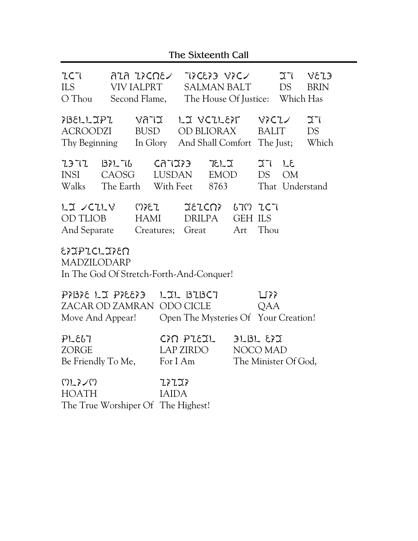## The Sixteenth Call

| 2C7<br><b>ILS</b><br>O Thou                                            |                                              | ลนล น≽⊂Ωε∠<br>VIV IALPRT           |                                                                                               | Second Flame, The House Of Justice: Which Has         |                                                     | <b>NASH EX3DXT</b><br>SALMAN BALT |              | 27<br>DS                     | YZY<br><b>BRIN</b>       |
|------------------------------------------------------------------------|----------------------------------------------|------------------------------------|-----------------------------------------------------------------------------------------------|-------------------------------------------------------|-----------------------------------------------------|-----------------------------------|--------------|------------------------------|--------------------------|
| 7BELLIPI VATI<br>ACROODZI<br>Thy Beginning                             |                                              | <b>BUSD</b>                        |                                                                                               | LI VCILET<br>OD BLIORAX<br>In Glory And Shall Comfort |                                                     |                                   | BALIT        | $V$ ? $C1$<br>The Just;      | 27<br><b>DS</b><br>Which |
| ユヨマユ<br>INSI<br>Walks                                                  | $BZU$ CATIES<br>CAOSG<br>The Earth With Feet |                                    |                                                                                               | LUSDAN                                                | たしご<br>EMOD<br>8763                                 |                                   | 31 L<br>DS   | <b>OM</b><br>That Understand |                          |
| LI / CILV MIEI<br>OD TLIOB<br>And Separate                             |                                              | HAMI                               |                                                                                               | IEICN<br>DRILPA<br>Creatures; Great Art               |                                                     | 670 767<br><b>GEH ILS</b>         | Thou         |                              |                          |
| EXIPICLIXEN<br>MADZILODARP<br>In The God Of Stretch-Forth-And-Conquer! |                                              |                                    |                                                                                               |                                                       |                                                     |                                   |              |                              |                          |
| Move And Appear!                                                       |                                              |                                    | PIBIE LI PIEEI DIL BIBCT<br>ZACAR OD ZAMRAN ODO CICLE<br>Open The Mysteries Of Your Creation! |                                                       |                                                     |                                   | $L^*$<br>QAA |                              |                          |
| PL667<br><b>ZORGE</b><br>Be Friendly To Me,                            |                                              | CIN PIEIL<br>LAP ZIRDO<br>For I Am |                                                                                               |                                                       | $JLSL$ $\Sigma$<br>NOCO MAD<br>The Minister Of God, |                                   |              |                              |                          |
| いアメへい<br><b>HOATH</b>                                                  |                                              |                                    | 77777<br><b>IAIDA</b>                                                                         |                                                       |                                                     |                                   |              |                              |                          |

The True Worshiper Of The Highest!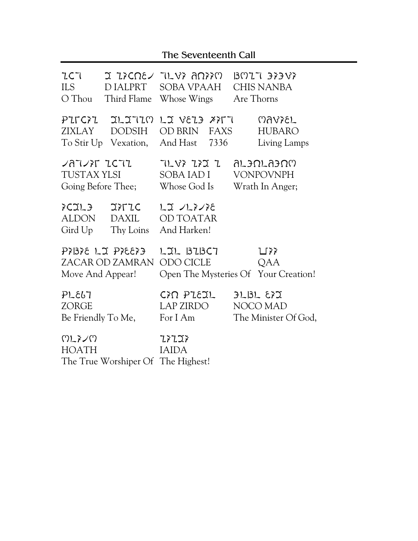## The Seventeenth Call

| 2C7<br>ILS<br>O Thou                                       | D IALPRT<br>Third Flame                                | חזזה זעבר עשראד ב<br>SOBA VPAAH<br>Whose Wings      | $B027$ 37387<br><b>CHIS NANBA</b><br>Are Thorns           |
|------------------------------------------------------------|--------------------------------------------------------|-----------------------------------------------------|-----------------------------------------------------------|
| PILCII<br>ZIXLAY                                           | <b>JLJJIM</b><br><b>DODSIH</b><br>To Stir Up Vexation, | LI VELE XITT<br>OD BRIN<br>FAXS<br>And Hast<br>7336 | <b>MAYZEL</b><br><b>HUBARO</b><br>Living Lamps            |
| $27727$ $2572$<br><b>TUSTAX YLSI</b><br>Going Before Thee; |                                                        | 71 87 772 7<br>SOBA IAD I<br>Whose God Is           | <u>UTSUTUSUU</u><br><b>VONPOVNPH</b><br>Wrath In Anger;   |
| FCJL3<br>ALDON<br>Gird Up                                  | <b>JITIC</b><br>DAXIL<br>Thy Loins                     | レエ ノレシンシ<br>OD TOATAR<br>And Harken!                |                                                           |
| Move And Appear!                                           | E{33{{ LI P}&}<br>ZACAR OD ZAMRAN                      | LIL BIBCT<br>ODO CICLE                              | $L$ $\geq$<br>QAA<br>Open The Mysteries Of Your Creation! |
| PL667<br><b>ZORGE</b><br>Be Friendly To Me,                |                                                        | CIN PIEJL<br><b>LAP ZIRDO</b><br>For I Am           | $3L13L$ $572$<br>NOCO MAD<br>The Minister Of God,         |
| いアメへい<br><b>HOATH</b>                                      | The True Worshiper Of The Highest!                     | 77777<br><b>IAIDA</b>                               |                                                           |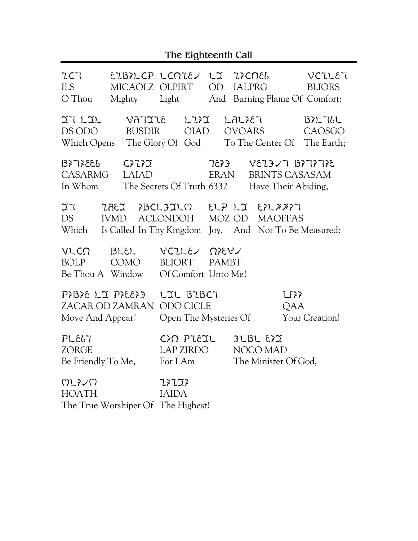| 2C7<br><b>ILS</b><br>O Thou                 |                                                | EIBILCP LCNIE/ LI IICNEL<br>MICAOLZ OLPIRT OD IALPRG   |              |                                                   | VCILET<br><b>BLIORS</b><br>Mighty Light And Burning Flame Of Comfort;         |
|---------------------------------------------|------------------------------------------------|--------------------------------------------------------|--------------|---------------------------------------------------|-------------------------------------------------------------------------------|
| 27L2<br>DS ODO                              | BUSDIR                                         | VATILE LIFI<br><b>OIAD</b>                             |              | LAL787<br><b>OVOARS</b>                           | 1371761<br>CAOSGO<br>Which Opens The Glory Of God To The Center Of The Earth; |
| 13397 FBI<br><b>CASARMG</b><br>In Whom      | CIZI<br>LAIAD                                  | The Secrets Of Truth 6332                              | ERAN         |                                                   | $357$ \$17 \$51 7 \cdd 37 \$52<br>BRINTS CASASAM<br>Have Their Abiding;       |
| 27<br>DS<br>Which                           | <b>IVMD</b>                                    | ACLONDOH MOZ OD MAOFFAS                                |              |                                                   | Is Called In Thy Kingdom Joy, And Not To Be Measured:                         |
| VLCN<br>BOLP                                | 3LEL<br>COMO<br>Be Thou A Window               | VCILE 27EV<br><b>BLIORT</b><br>Of Comfort Unto Me!     | <b>PAMBT</b> |                                                   |                                                                               |
| Move And Appear!                            | PእBእE LJ PእEEእ <del>3</del><br>ZACAR OD ZAMRAN | LIL BIBCT<br><b>ODO CICLE</b><br>Open The Mysteries Of |              |                                                   | $\sqcup$ $\}$<br>QAA<br>Your Creation!                                        |
| PL667<br><b>ZORGE</b><br>Be Friendly To Me, |                                                | CIN PIEJL<br>LAP ZIRDO<br>For I Am                     |              | $3L13L$ $577$<br>NOCO MAD<br>The Minister Of God, |                                                                               |
| いアメへい<br><b>HOATH</b>                       |                                                | 77777<br><b>IAIDA</b>                                  |              |                                                   |                                                                               |

The True Worshiper Of The Highest!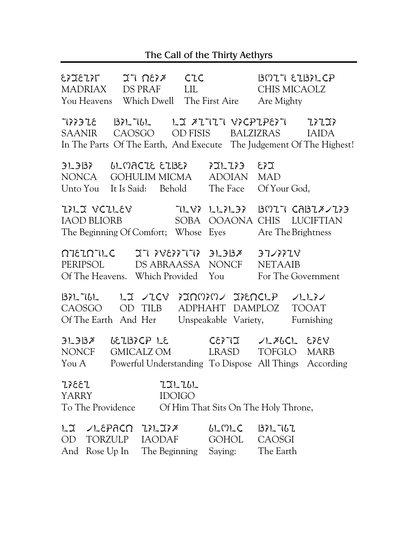# The Call of the Thirty Aethyrs

| 7873283<br>MADRIAX<br>You Heavens Which Dwell The First Aire                                                           | $X \setminus \Omega$<br>DS PRAF                                                                          | CLC<br>LIL.             |                                         | $B017$ $E137$ $C$ P<br>CHIS MICAOLZ<br>Are Mighty       |              |
|------------------------------------------------------------------------------------------------------------------------|----------------------------------------------------------------------------------------------------------|-------------------------|-----------------------------------------|---------------------------------------------------------|--------------|
| TIIDE BILTUL LI XITIT VICPIPEIT IIII<br>SAANIR<br>In The Parts Of The Earth, And Execute The Judgement Of The Highest! | CAOSGO                                                                                                   |                         |                                         | OD FISIS BALZIZRAS                                      | <b>IAIDA</b> |
| $3L$ $3B$<br>NONCA<br>Unto You                                                                                         | LLMACZE EZBE?<br>GOHULIM MICMA<br>It Is Said: Behold                                                     |                         | ን <b>ጋ</b> L ጊን }<br>ADOIAN<br>The Face | $\Sigma$ 33<br><b>MAD</b><br>Of Your God,               |              |
| TILI VCILEV TLVI LLILII BMIT CABIXUII<br><b>IAOD BLIORB</b><br>The Beginning Of Comfort; Whose Eyes                    |                                                                                                          |                         |                                         | SOBA OOAONA CHIS LUCIFTIAN<br>Are The Brightness        |              |
| XELE STT STYSSYS TO DUTOISTO<br>PERIPSOL DS ABRAASSA NONCF<br>Of The Heavens. Which Provided You                       |                                                                                                          |                         |                                         | 37/887V<br><b>NETAAIB</b><br>For The Government         |              |
| $BZUU$ $LZUU$<br>CAOSGO<br>Of The Earth And Her                                                                        | OD TILB                                                                                                  |                         | Unspeakable Variety,                    | $7200702$ $272001$ $P$ $71172$<br>ADPHAHT DAMPLOZ TOOAT | Furnishing   |
| 3L33<br><b>NONCF</b><br>You $A$                                                                                        | <u> ሪ</u> ይጊ!3ንር <del>ዖ</del> LE<br>GMICALZ OM<br>Powerful Understanding To Dispose All Things According |                         | <b>CEXTI</b><br>LRASD                   | JLZbCL EZEV<br>TOFGLO MARB                              |              |
| 13387<br><b>YARRY</b><br>To The Providence                                                                             |                                                                                                          | 771761<br><b>IDOIGO</b> |                                         | Of Him That Sits On The Holy Throne,                    |              |
| LI VLEPACN IILIIX<br>TORZULP<br>OD<br>And Rose Up In                                                                   | <b>IAODAF</b>                                                                                            | The Beginning           | ししいして<br><b>GOHOL</b><br>Saying:        | 1371767<br>CAOSGI<br>The Earth                          |              |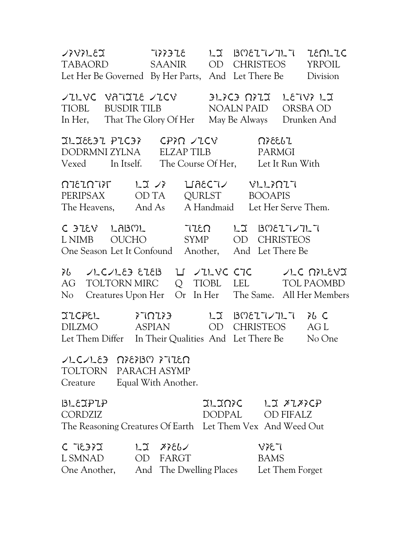TABAORD SAANIR OD CHRISTEOS YRPOIL TABAORD SAANIR OD CHRISTEOS YRPOIL Let Her Be Governed By Her Parts, And Let There Be Division TILVC VATIJE TICV OPLICI NIJ LETVI LI TIOBL BUSDIR TILB NOALN PAID ORSBA OD In Her, That The Glory Of Her May Be Always Drunken And DIDEE PICIT CPIN JICV AIEELI DODRMNI ZYLNA ELZAP TILB PARMGI Vexed In Itself. The Course Of Her, Let It Run With PERIPSAX OD TA QURLST BOOAPIS PERIPSAX OD TA QURLST BOOAPIS The Heavens, And As A Handmaid Let Her Serve Them. C FIEV LABOL - TIEO - LI BOEITITLI L NIMB OUCHO SYMP OD CHRISTEOS One Season Let It Confound Another, And Let There Be AG ALCALED EIEB II AILVE CIE ALLER APLEVI AG TOLTORN MIRC Q TIOBL LEL TOL PAOMBD No Creatures Upon Her Or In Her The Same. All Her Members DILZMO ASPIAN OD CHRISTEOS AG L DILZMO ASPIAN OD CHRISTEOS AG L Let Them Differ In Their Qualities And Let There Be No One  $LCALE3$   $\Omega$   $\Omega$   $\Omega$   $\Omega$   $\Omega$ TOLTORN PARACH ASYMP Creature Equal With Another. BLEIPIP JLINIC LI XIXICP CORDZIZ DODPAL OD FIFALZ The Reasoning Creatures Of Earth Let Them Vex And Weed Out  $C$   $T350$   $T350$   $T300$   $T300$   $T300$   $T300$   $T300$ L SMNAD OD FARGT BAMS One Another, And The Dwelling Places Let Them Forget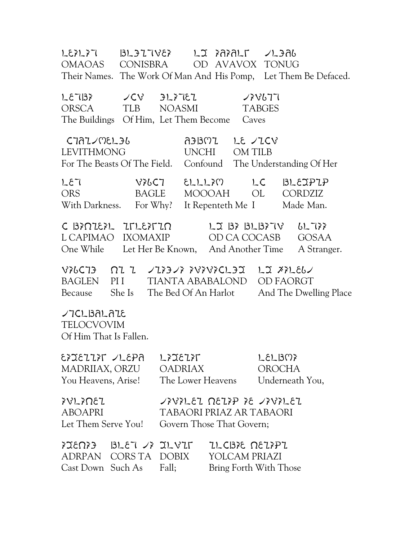ORENT ORGINES CONTRENE CONTROL OMAOAS CONISBRA OD AVAVOX TONUG Their Names. The Work Of Man And His Pomp, Let Them Be Defaced. ORSCA TLB NOASMI TABGES ORSCA TLB NOASMI TABGES The Buildings Of Him, Let Them Become Caves CIAL/MEL36 A3BMI LE /ICV LEVITHMONG UNCHI OM TILB For The Beasts Of The Field. Confound The Understanding Of Her ORS BAGLE MOOOAH OL CORDZIZ ORS BAGLE MOOOAH OL CORDZIZ With Darkness. For Why? It Repenteth Me I Made Man. L CAPIMAO IXOMAXIP OD CA COCASB GOSAA L CAPIMAO IXOMAXIP OD CA COCASB GOSAA One While Let Her Be Known, And Another Time A Stranger. BAGCIO OI I VIIOVI IVIBICLOI LI AILEGU BAGLEN PII TIANTA ABABALOND OD FAORGT Because She Is The Bed Of An Harlot And The Dwelling Place ረገርLBALAIE TELOCVOVIM Of Him That Is Fallen. EXIEIIX JLEPA LXIEIXT OADRIASIEN MADRIIAX, ORZU OADRIAX OROCHA You Heavens, Arise! The Lower Heavens Underneath You,  $\gamma$ ABOAPRI TABAORI PRIAZ AR TABAORI Let Them Serve You! Govern Those That Govern;  $P(X,Y) = BLEY - F(X,Y)$  is the probable corrections  $P(Y|Y)$ ADRPAN CORS TA DOBIX YOLCAM PRIAZI Cast Down Such As Fall; Bring Forth With Those